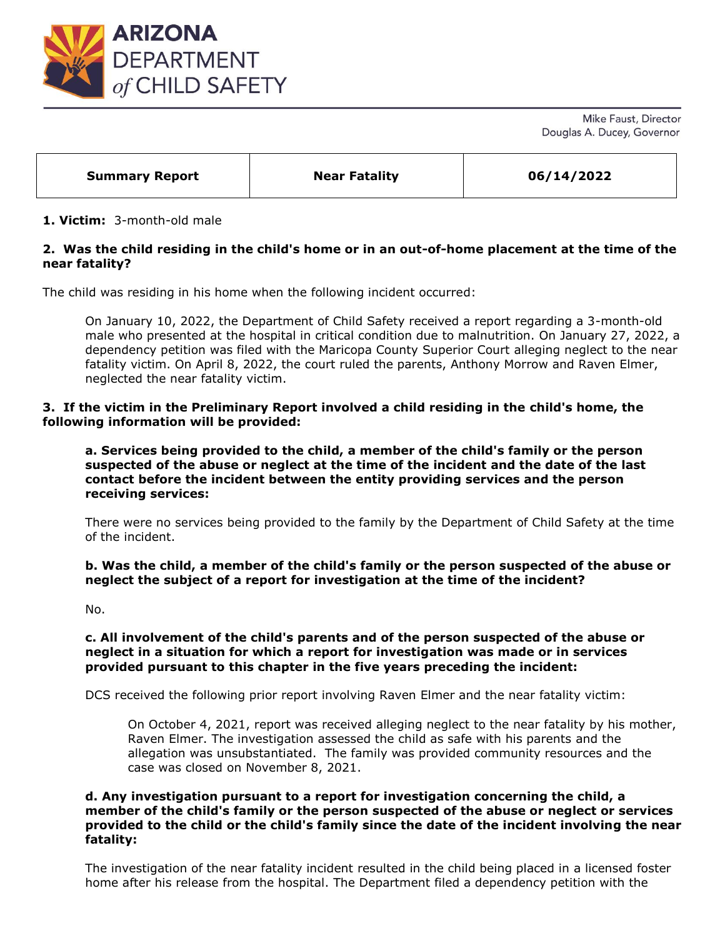

Mike Faust, Director Douglas A. Ducey, Governor

| 06/14/2022<br><b>Near Fatality</b><br><b>Summary Report</b> |  |
|-------------------------------------------------------------|--|
|-------------------------------------------------------------|--|

## **1. Victim:** 3-month-old male

# **2. Was the child residing in the child's home or in an out-of-home placement at the time of the near fatality?**

The child was residing in his home when the following incident occurred:

On January 10, 2022, the Department of Child Safety received a report regarding a 3-month-old male who presented at the hospital in critical condition due to malnutrition. On January 27, 2022, a dependency petition was filed with the Maricopa County Superior Court alleging neglect to the near fatality victim. On April 8, 2022, the court ruled the parents, Anthony Morrow and Raven Elmer, neglected the near fatality victim.

### **3. If the victim in the Preliminary Report involved a child residing in the child's home, the following information will be provided:**

**a. Services being provided to the child, a member of the child's family or the person suspected of the abuse or neglect at the time of the incident and the date of the last contact before the incident between the entity providing services and the person receiving services:** 

There were no services being provided to the family by the Department of Child Safety at the time of the incident.

#### **b. Was the child, a member of the child's family or the person suspected of the abuse or neglect the subject of a report for investigation at the time of the incident?**

No.

### **c. All involvement of the child's parents and of the person suspected of the abuse or neglect in a situation for which a report for investigation was made or in services provided pursuant to this chapter in the five years preceding the incident:**

DCS received the following prior report involving Raven Elmer and the near fatality victim:

On October 4, 2021, report was received alleging neglect to the near fatality by his mother, Raven Elmer. The investigation assessed the child as safe with his parents and the allegation was unsubstantiated. The family was provided community resources and the case was closed on November 8, 2021.

## **d. Any investigation pursuant to a report for investigation concerning the child, a member of the child's family or the person suspected of the abuse or neglect or services provided to the child or the child's family since the date of the incident involving the near fatality:**

The investigation of the near fatality incident resulted in the child being placed in a licensed foster home after his release from the hospital. The Department filed a dependency petition with the